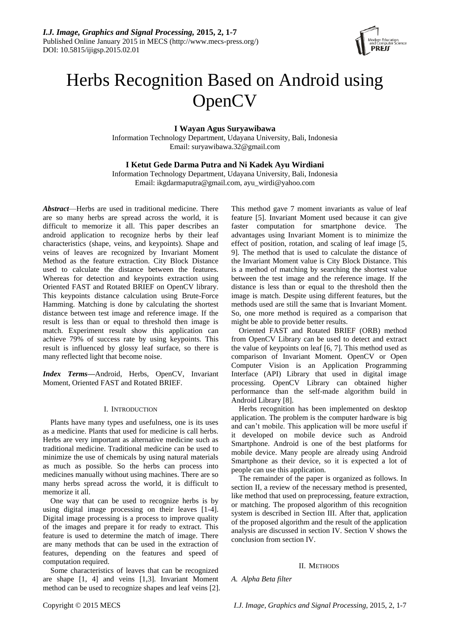

# Herbs Recognition Based on Android using **OpenCV**

**I Wayan Agus Suryawibawa**

Information Technology Department, Udayana University, Bali, Indonesia Email: suryawibawa.32@gmail.com

# **I Ketut Gede Darma Putra and Ni Kadek Ayu Wirdiani**

Information Technology Department, Udayana University, Bali, Indonesia Email: ikgdarmaputra@gmail.com, ayu\_wirdi@yahoo.com

*Abstract*—Herbs are used in traditional medicine. There are so many herbs are spread across the world, it is difficult to memorize it all. This paper describes an android application to recognize herbs by their leaf characteristics (shape, veins, and keypoints). Shape and veins of leaves are recognized by Invariant Moment Method as the feature extraction. City Block Distance used to calculate the distance between the features. Whereas for detection and keypoints extraction using Oriented FAST and Rotated BRIEF on OpenCV library. This keypoints distance calculation using Brute-Force Hamming. Matching is done by calculating the shortest distance between test image and reference image. If the result is less than or equal to threshold then image is match. Experiment result show this application can achieve 79% of success rate by using keypoints. This result is influenced by glossy leaf surface, so there is many reflected light that become noise.

*Index Terms—*Android, Herbs, OpenCV, Invariant Moment, Oriented FAST and Rotated BRIEF.

# I. INTRODUCTION

Plants have many types and usefulness, one is its uses as a medicine. Plants that used for medicine is call herbs. Herbs are very important as alternative medicine such as traditional medicine. Traditional medicine can be used to minimize the use of chemicals by using natural materials as much as possible. So the herbs can process into medicines manually without using machines. There are so many herbs spread across the world, it is difficult to memorize it all.

One way that can be used to recognize herbs is by using digital image processing on their leaves [1-4]. Digital image processing is a process to improve quality of the images and prepare it for ready to extract. This feature is used to determine the match of image. There are many methods that can be used in the extraction of features, depending on the features and speed of computation required.

Some characteristics of leaves that can be recognized are shape [1, 4] and veins [1,3]. Invariant Moment method can be used to recognize shapes and leaf veins [2]. This method gave 7 moment invariants as value of leaf feature [5]. Invariant Moment used because it can give faster computation for smartphone device. The advantages using Invariant Moment is to minimize the effect of position, rotation, and scaling of leaf image [5, 9]. The method that is used to calculate the distance of the Invariant Moment value is City Block Distance. This is a method of matching by searching the shortest value between the test image and the reference image. If the distance is less than or equal to the threshold then the image is match. Despite using different features, but the methods used are still the same that is Invariant Moment. So, one more method is required as a comparison that might be able to provide better results.

Oriented FAST and Rotated BRIEF (ORB) method from OpenCV Library can be used to detect and extract the value of keypoints on leaf [6, 7]. This method used as comparison of Invariant Moment. OpenCV or Open Computer Vision is an Application Programming Interface (API) Library that used in digital image processing. OpenCV Library can obtained higher performance than the self-made algorithm build in Android Library [8].

Herbs recognition has been implemented on desktop application. The problem is the computer hardware is big and can't mobile. This application will be more useful if it developed on mobile device such as Android Smartphone. Android is one of the best platforms for mobile device. Many people are already using Android Smartphone as their device, so it is expected a lot of people can use this application.

The remainder of the paper is organized as follows. In section II, a review of the necessary method is presented, like method that used on preprocessing, feature extraction, or matching. The proposed algorithm of this recognition system is described in Section III. After that, application of the proposed algorithm and the result of the application analysis are discussed in section IV. Section V shows the conclusion from section IV.

# II. METHODS

*A. Alpha Beta filter*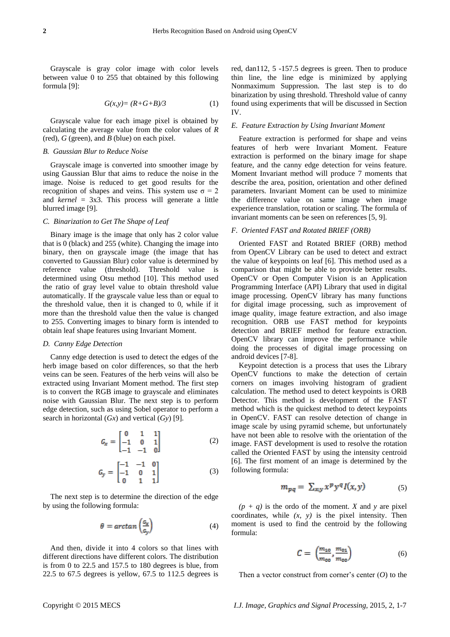Grayscale is gray color image with color levels between value 0 to 255 that obtained by this following formula [9]:

$$
G(x,y) = (R+G+B)/3 \tag{1}
$$

Grayscale value for each image pixel is obtained by calculating the average value from the color values of *R* (red), *G* (green), and *B* (blue) on each pixel.

# *B. Gaussian Blur to Reduce Noise*

Grayscale image is converted into smoother image by using Gaussian Blur that aims to reduce the noise in the image. Noise is reduced to get good results for the recognition of shapes and veins. This system use  $\sigma = 2$ and *kernel* = 3x3. This process will generate a little blurred image [9].

## *C. Binarization to Get The Shape of Leaf*

Binary image is the image that only has 2 color value that is 0 (black) and 255 (white). Changing the image into binary, then on grayscale image (the image that has converted to Gaussian Blur) color value is determined by reference value (threshold). Threshold value is determined using Otsu method [10]. This method used the ratio of gray level value to obtain threshold value automatically. If the grayscale value less than or equal to the threshold value, then it is changed to 0, while if it more than the threshold value then the value is changed to 255. Converting images to binary form is intended to obtain leaf shape features using Invariant Moment.

## *D. Canny Edge Detection*

Canny edge detection is used to detect the edges of the herb image based on color differences, so that the herb veins can be seen. Features of the herb veins will also be extracted using Invariant Moment method. The first step is to convert the RGB image to grayscale and eliminates noise with Gaussian Blur. The next step is to perform edge detection, such as using Sobel operator to perform a search in horizontal (*Gx*) and vertical (*Gy*) [9].

$$
G_x = \begin{bmatrix} 0 & 1 & 1 \\ -1 & 0 & 1 \\ -1 & -1 & 0 \end{bmatrix} \tag{2}
$$

$$
G_y = \begin{bmatrix} -1 & -1 & 0 \\ -1 & 0 & 1 \\ 0 & 1 & 1 \end{bmatrix} \tag{3}
$$

The next step is to determine the direction of the edge by using the following formula:

$$
\theta = \arctan\left(\frac{c_x}{c_y}\right) \tag{4}
$$

And then, divide it into 4 colors so that lines with different directions have different colors. The distribution is from 0 to 22.5 and 157.5 to 180 degrees is blue, from 22.5 to 67.5 degrees is yellow, 67.5 to 112.5 degrees is red, dan112, 5 -157.5 degrees is green. Then to produce thin line, the line edge is minimized by applying Nonmaximum Suppression. The last step is to do binarization by using threshold. Threshold value of canny found using experiments that will be discussed in Section IV.

## *E. Feature Extraction by Using Invariant Moment*

Feature extraction is performed for shape and veins features of herb were Invariant Moment. Feature extraction is performed on the binary image for shape feature, and the canny edge detection for veins feature. Moment Invariant method will produce 7 moments that describe the area, position, orientation and other defined parameters. Invariant Moment can be used to minimize the difference value on same image when image experience translation, rotation or scaling. The formula of invariant moments can be seen on references [5, 9].

# *F. Oriented FAST and Rotated BRIEF (ORB)*

Oriented FAST and Rotated BRIEF (ORB) method from OpenCV Library can be used to detect and extract the value of keypoints on leaf [6]. This method used as a comparison that might be able to provide better results. OpenCV or Open Computer Vision is an Application Programming Interface (API) Library that used in digital image processing. OpenCV library has many functions for digital image processing, such as improvement of image quality, image feature extraction, and also image recognition. ORB use FAST method for keypoints detection and BRIEF method for feature extraction. OpenCV library can improve the performance while doing the processes of digital image processing on android devices [7-8].

Keypoint detection is a process that uses the Library OpenCV functions to make the detection of certain corners on images involving histogram of gradient calculation. The method used to detect keypoints is ORB Detector. This method is development of the FAST method which is the quickest method to detect keypoints in OpenCV. FAST can resolve detection of change in image scale by using pyramid scheme, but unfortunately have not been able to resolve with the orientation of the image. FAST development is used to resolve the rotation called the Oriented FAST by using the intensity centroid [6]. The first moment of an image is determined by the following formula:

$$
m_{pq} = \sum_{x,y} x^p y^q I(x,y) \tag{5}
$$

 $(p + q)$  is the ordo of the moment. *X* and *y* are pixel coordinates, while *(x, y)* is the pixel intensity. Then moment is used to find the centroid by the following formula:

$$
C = \left(\frac{m_{10}}{m_{00}}, \frac{m_{01}}{m_{00}}\right) \tag{6}
$$

Then a vector construct from corner's center (*O*) to the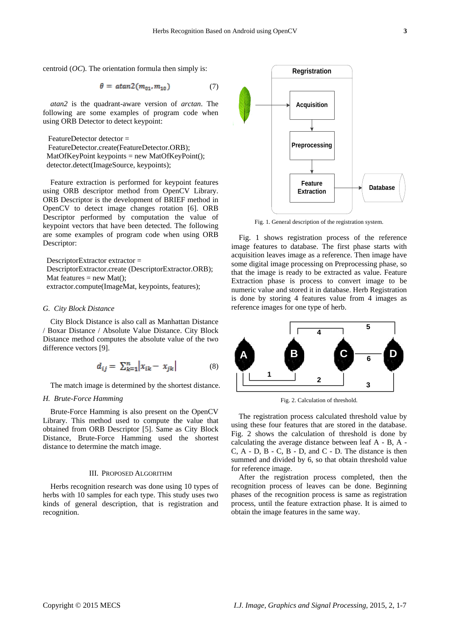centroid (*OC*). The orientation formula then simply is:

$$
\theta = \text{atan2}(m_{01}, m_{10}) \tag{7}
$$

*atan2* is the quadrant-aware version of *arctan*. The following are some examples of program code when using ORB Detector to detect keypoint:

FeatureDetector detector = FeatureDetector.create(FeatureDetector.ORB); MatOfKeyPoint keypoints = new MatOfKeyPoint(); detector.detect(ImageSource, keypoints);

Feature extraction is performed for keypoint features using ORB descriptor method from OpenCV Library. ORB Descriptor is the development of BRIEF method in OpenCV to detect image changes rotation [6]. ORB Descriptor performed by computation the value of keypoint vectors that have been detected. The following are some examples of program code when using ORB Descriptor:

DescriptorExtractor extractor = DescriptorExtractor.create (DescriptorExtractor.ORB); Mat features  $=$  new Mat(); extractor.compute(ImageMat, keypoints, features);

#### *G. City Block Distance*

City Block Distance is also call as Manhattan Distance / Boxar Distance / Absolute Value Distance. City Block Distance method computes the absolute value of the two difference vectors [9].

$$
d_{ij} = \sum_{k=1}^{n} \left| x_{ik} - x_{jk} \right| \tag{8}
$$

The match image is determined by the shortest distance.

## *H. Brute-Force Hamming*

Brute-Force Hamming is also present on the OpenCV Library. This method used to compute the value that obtained from ORB Descriptor [5]. Same as City Block Distance, Brute-Force Hamming used the shortest distance to determine the match image.

## III. PROPOSED ALGORITHM

Herbs recognition research was done using 10 types of herbs with 10 samples for each type. This study uses two kinds of general description, that is registration and recognition.



Fig. 1. General description of the registration system.

Fig. 1 shows registration process of the reference image features to database. The first phase starts with acquisition leaves image as a reference. Then image have some digital image processing on Preprocessing phase, so that the image is ready to be extracted as value. Feature Extraction phase is process to convert image to be numeric value and stored it in database. Herb Registration is done by storing 4 features value from 4 images as reference images for one type of herb.



Fig. 2. Calculation of threshold.

The registration process calculated threshold value by using these four features that are stored in the database. Fig. 2 shows the calculation of threshold is done by calculating the average distance between leaf A - B, A - C, A - D, B - C, B - D, and C - D. The distance is then summed and divided by 6, so that obtain threshold value for reference image.

After the registration process completed, then the recognition process of leaves can be done. Beginning phases of the recognition process is same as registration process, until the feature extraction phase. It is aimed to obtain the image features in the same way.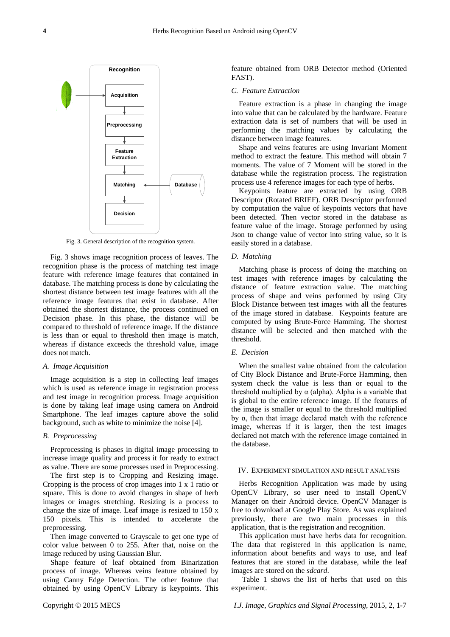

Fig. 3. General description of the recognition system.

Fig. 3 shows image recognition process of leaves. The recognition phase is the process of matching test image feature with reference image features that contained in database. The matching process is done by calculating the shortest distance between test image features with all the reference image features that exist in database. After obtained the shortest distance, the process continued on Decision phase. In this phase, the distance will be compared to threshold of reference image. If the distance is less than or equal to threshold then image is match, whereas if distance exceeds the threshold value, image does not match.

#### *A. Image Acquisition*

Image acquisition is a step in collecting leaf images which is used as reference image in registration process and test image in recognition process. Image acquisition is done by taking leaf image using camera on Android Smartphone. The leaf images capture above the solid background, such as white to minimize the noise [4].

## *B. Preprocessing*

Preprocessing is phases in digital image processing to increase image quality and process it for ready to extract as value. There are some processes used in Preprocessing.

The first step is to Cropping and Resizing image. Cropping is the process of crop images into 1 x 1 ratio or square. This is done to avoid changes in shape of herb images or images stretching. Resizing is a process to change the size of image. Leaf image is resized to 150 x 150 pixels. This is intended to accelerate the preprocessing.

Then image converted to Grayscale to get one type of color value between 0 to 255. After that, noise on the image reduced by using Gaussian Blur.

Shape feature of leaf obtained from Binarization process of image. Whereas veins feature obtained by using Canny Edge Detection. The other feature that obtained by using OpenCV Library is keypoints. This

feature obtained from ORB Detector method (Oriented FAST).

#### *C. Feature Extraction*

Feature extraction is a phase in changing the image into value that can be calculated by the hardware. Feature extraction data is set of numbers that will be used in performing the matching values by calculating the distance between image features.

Shape and veins features are using Invariant Moment method to extract the feature. This method will obtain 7 moments. The value of 7 Moment will be stored in the database while the registration process. The registration process use 4 reference images for each type of herbs.

Keypoints feature are extracted by using ORB Descriptor (Rotated BRIEF). ORB Descriptor performed by computation the value of keypoints vectors that have been detected. Then vector stored in the database as feature value of the image. Storage performed by using Json to change value of vector into string value, so it is easily stored in a database.

#### *D. Matching*

Matching phase is process of doing the matching on test images with reference images by calculating the distance of feature extraction value. The matching process of shape and veins performed by using City Block Distance between test images with all the features of the image stored in database. Keypoints feature are computed by using Brute-Force Hamming. The shortest distance will be selected and then matched with the threshold.

# *E. Decision*

When the smallest value obtained from the calculation of City Block Distance and Brute-Force Hamming, then system check the value is less than or equal to the threshold multiplied by α (alpha). Alpha is a variable that is global to the entire reference image. If the features of the image is smaller or equal to the threshold multiplied by α, then that image declared match with the reference image, whereas if it is larger, then the test images declared not match with the reference image contained in the database.

## IV. EXPERIMENT SIMULATION AND RESULT ANALYSIS

Herbs Recognition Application was made by using OpenCV Library, so user need to install OpenCV Manager on their Android device. OpenCV Manager is free to download at Google Play Store. As was explained previously, there are two main processes in this application, that is the registration and recognition.

This application must have herbs data for recognition. The data that registered in this application is name, information about benefits and ways to use, and leaf features that are stored in the database, while the leaf images are stored on the *sdcard*.

Table 1 shows the list of herbs that used on this experiment.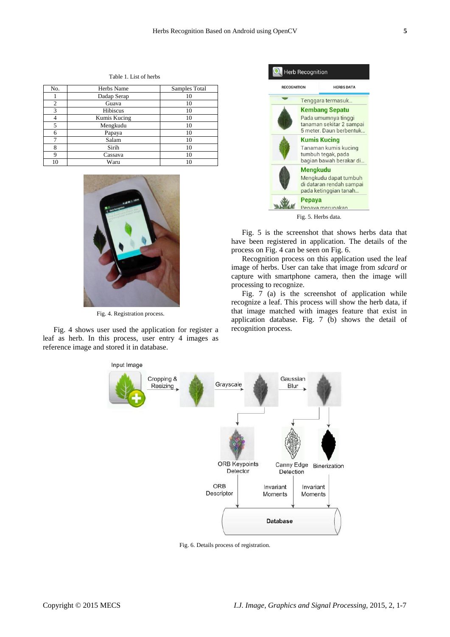| No. | Herbs Name   | Samples Total |
|-----|--------------|---------------|
|     | Dadap Serap  | 10            |
| 2   | Guava        | 10            |
| 3   | Hibiscus     | 10            |
|     | Kumis Kucing | 10            |
| 5   | Mengkudu     | 10            |
| 6   | Papaya       | 10            |
|     | Salam        | 10            |
| 8   | Sirih        | 10            |
| Q   | Cassava      | 10            |
| 10  | Waru         | 10            |

Table 1. List of herbs



Fig. 4. Registration process.

Fig. 4 shows user used the application for register a leaf as herb. In this process, user entry 4 images as reference image and stored it in database.



Fig. 5 is the screenshot that shows herbs data that have been registered in application. The details of the process on Fig. 4 can be seen on Fig. 6.

Recognition process on this application used the leaf image of herbs. User can take that image from *sdcard* or capture with smartphone camera, then the image will processing to recognize.

Fig. 7 (a) is the screenshot of application while recognize a leaf. This process will show the herb data, if that image matched with images feature that exist in application database. Fig. 7 (b) shows the detail of recognition process.



Fig. 6. Details process of registration.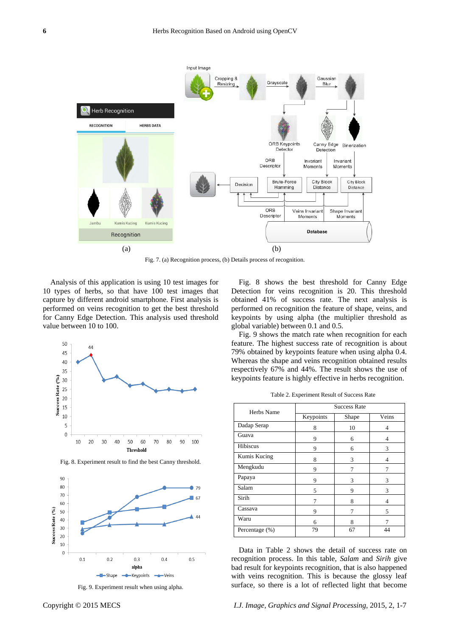

Fig. 7. (a) Recognition process, (b) Details process of recognition.

Analysis of this application is using 10 test images for 10 types of herbs, so that have 100 test images that capture by different android smartphone. First analysis is performed on veins recognition to get the best threshold for Canny Edge Detection. This analysis used threshold value between 10 to 100.





Fig. 8. Experiment result to find the best Canny threshold.

Fig. 9. Experiment result when using alpha.

Fig. 8 shows the best threshold for Canny Edge Detection for veins recognition is 20. This threshold obtained 41% of success rate. The next analysis is performed on recognition the feature of shape, veins, and keypoints by using alpha (the multiplier threshold as global variable) between 0.1 and 0.5.

Fig. 9 shows the match rate when recognition for each feature. The highest success rate of recognition is about 79% obtained by keypoints feature when using alpha 0.4. Whereas the shape and veins recognition obtained results respectively 67% and 44%. The result shows the use of keypoints feature is highly effective in herbs recognition.

|                | <b>Success Rate</b> |       |       |
|----------------|---------------------|-------|-------|
| Herbs Name     | Keypoints           | Shape | Veins |
| Dadap Serap    | 8                   | 10    | 4     |
| Guava          | 9                   | 6     | 4     |
| Hibiscus       | 9                   | 6     | 3     |
| Kumis Kucing   | 8                   | 3     | 4     |
| Mengkudu       | 9                   | 7     |       |
| Papaya         | 9                   | 3     | 3     |
| Salam          | 5                   | 9     | 3     |
| Sirih          | 7                   | 8     | 4     |
| Cassava        | 9                   | 7     | 5     |
| Waru           | 6                   | 8     | 7     |
| Percentage (%) | 79                  | 67    | 44    |

Data in Table 2 shows the detail of success rate on recognition process. In this table, *Salam* and *Sirih* give bad result for keypoints recognition, that is also happened with veins recognition. This is because the glossy leaf surface, so there is a lot of reflected light that become